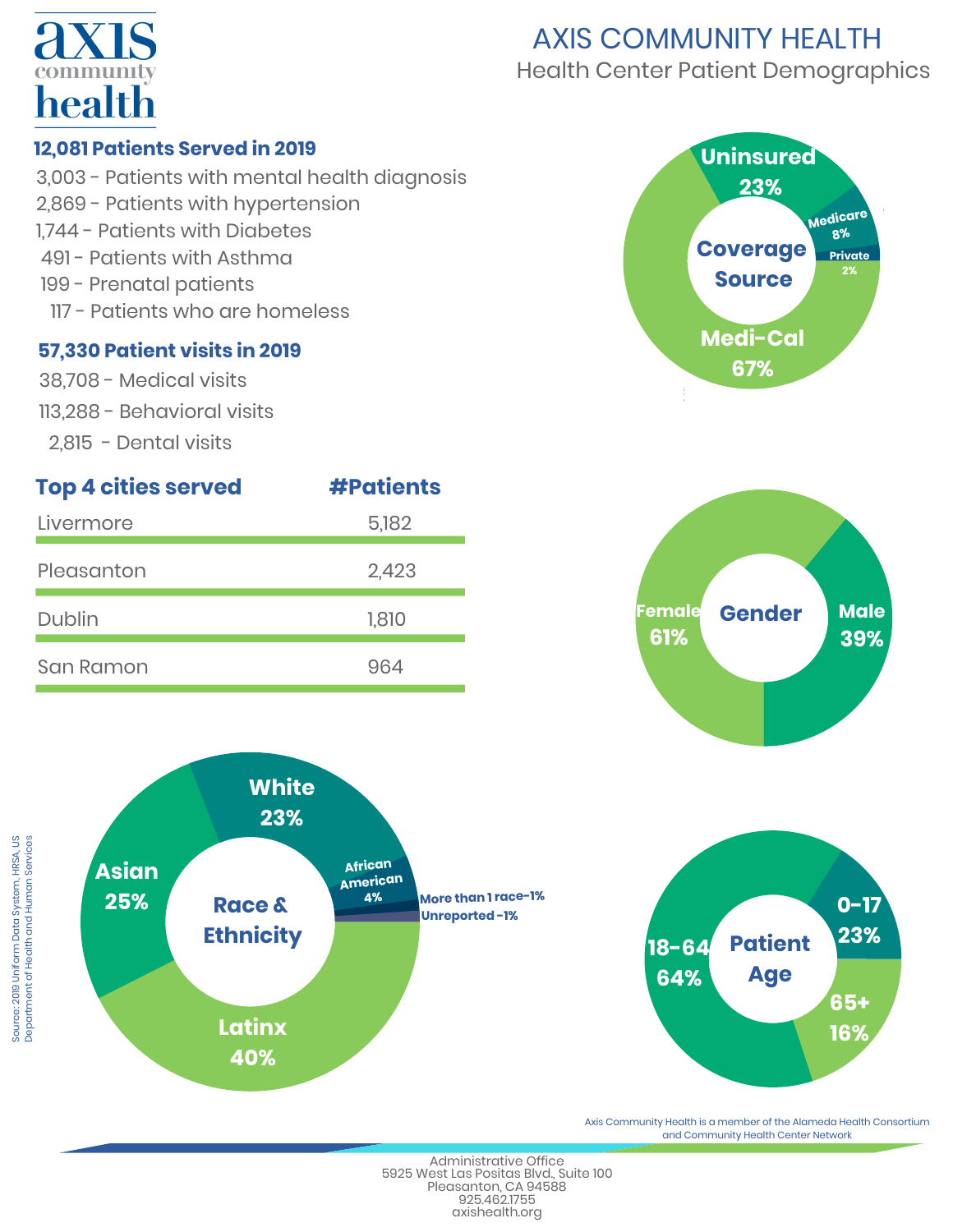

## AXIS COMMUNITY HEALTH Health Center Patient Demographics

#### **12,081 Patients Served in 2019**

3,003 - Patients with mental health diagnosis 2,869 - Patients with hypertension 1,744 - Patients with Diabetes 491 - Patients with Asthma 199 - Prenatal patients 117 - Patients who are homeless

#### **57,330 Patient visits in 2019**

- 38,708 Medical visits
- 113,288 Behavioral visits
- 2,815 Dental visits









%



Axis Community Health is a member of the Alameda Health Consortium and Community Health Center Network

[Administrative](http://www.axishealth.org/) Office 5925 West Las Positas Blvd., Suite 100 Pleasanton, CA 94588 925.462.1755 axishealth.org